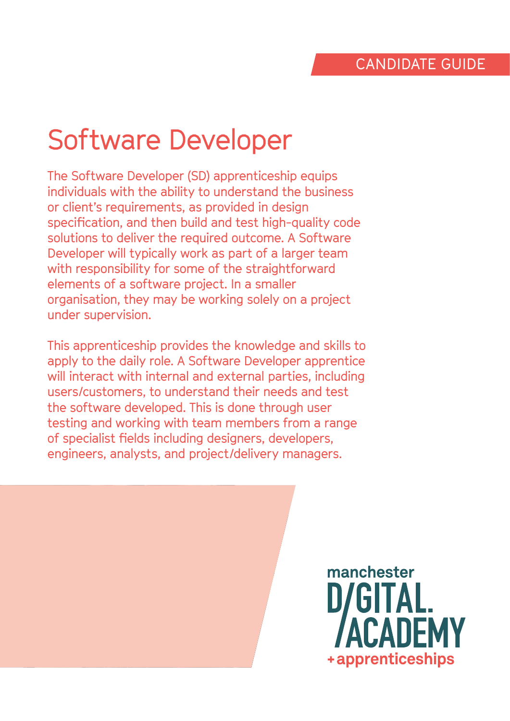# Software Developer

The Software Developer (SD) apprenticeship equips individuals with the ability to understand the business or client's requirements, as provided in design specification, and then build and test high-quality code solutions to deliver the required outcome. A Software Developer will typically work as part of a larger team with responsibility for some of the straightforward elements of a software project. In a smaller organisation, they may be working solely on a project under supervision.

This apprenticeship provides the knowledge and skills to apply to the daily role. A Software Developer apprentice will interact with internal and external parties, including users/customers, to understand their needs and test the software developed. This is done through user testing and working with team members from a range of specialist fields including designers, developers, engineers, analysts, and project/delivery managers.

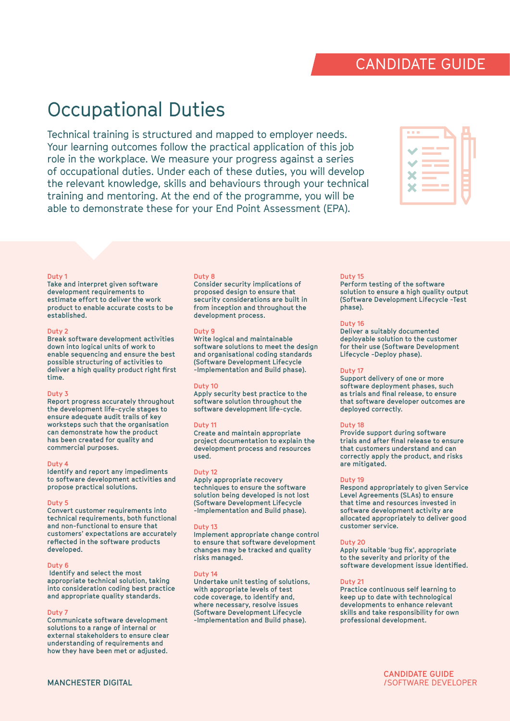## Occupational Duties

Technical training is structured and mapped to employer needs. Your learning outcomes follow the practical application of this job role in the workplace. We measure your progress against a series of occupational duties. Under each of these duties, you will develop the relevant knowledge, skills and behaviours through your technical training and mentoring. At the end of the programme, you will be able to demonstrate these for your End Point Assessment (EPA).

#### **Duty 1**

**Take and interpret given software development requirements to estimate effort to deliver the work product to enable accurate costs to be established.**

#### **Duty 2**

**Break software development activities down into logical units of work to enable sequencing and ensure the best possible structuring of activities to deliver a high quality product right first time.**

#### **Duty 3**

**Report progress accurately throughout the development life-cycle stages to ensure adequate audit trails of key worksteps such that the organisation can demonstrate how the product has been created for quality and commercial purposes.**

#### **Duty 4**

**Identify and report any impediments to software development activities and propose practical solutions.**

#### **Duty 5**

**Convert customer requirements into technical requirements, both functional and non-functional to ensure that customers' expectations are accurately reflected in the software products developed.**

#### **Duty 6**

 **Identify and select the most appropriate technical solution, taking into consideration coding best practice and appropriate quality standards.**

#### **Duty 7**

**Communicate software development solutions to a range of internal or external stakeholders to ensure clear understanding of requirements and how they have been met or adjusted.**

#### **Duty 8**

**Consider security implications of proposed design to ensure that security considerations are built in from inception and throughout the development process.**

#### **Duty 9**

**Write logical and maintainable software solutions to meet the design and organisational coding standards (Software Development Lifecycle -Implementation and Build phase).**

#### **Duty 10**

**Apply security best practice to the software solution throughout the software development life-cycle.**

#### **Duty 11**

**Create and maintain appropriate project documentation to explain the development process and resources used.**

#### **Duty 12**

**Apply appropriate recovery techniques to ensure the software solution being developed is not lost (Software Development Lifecycle -Implementation and Build phase).**

#### **Duty 13**

**Implement appropriate change control to ensure that software development changes may be tracked and quality risks managed.**

#### **Duty 14**

**Undertake unit testing of solutions, with appropriate levels of test code coverage, to identify and, where necessary, resolve issues (Software Development Lifecycle -Implementation and Build phase).**

#### **Duty 15**

**Perform testing of the software solution to ensure a high quality output (Software Development Lifecycle -Test phase).**

#### **Duty 16**

**Deliver a suitably documented deployable solution to the customer for their use (Software Development Lifecycle -Deploy phase).**

#### **Duty 17**

**Support delivery of one or more software deployment phases, such as trials and final release, to ensure that software developer outcomes are deployed correctly.**

#### **Duty 18**

**Provide support during software trials and after final release to ensure that customers understand and can correctly apply the product, and risks are mitigated.**

#### **Duty 19**

**Respond appropriately to given Service Level Agreements (SLAs) to ensure that time and resources invested in software development activity are allocated appropriately to deliver good customer service.**

#### **Duty 20**

**Apply suitable 'bug fix', appropriate to the severity and priority of the software development issue identified.**

#### **Duty 21**

**Practice continuous self learning to keep up to date with technological developments to enhance relevant skills and take responsibility for own professional development.** 



### CANDIDATE GUIDE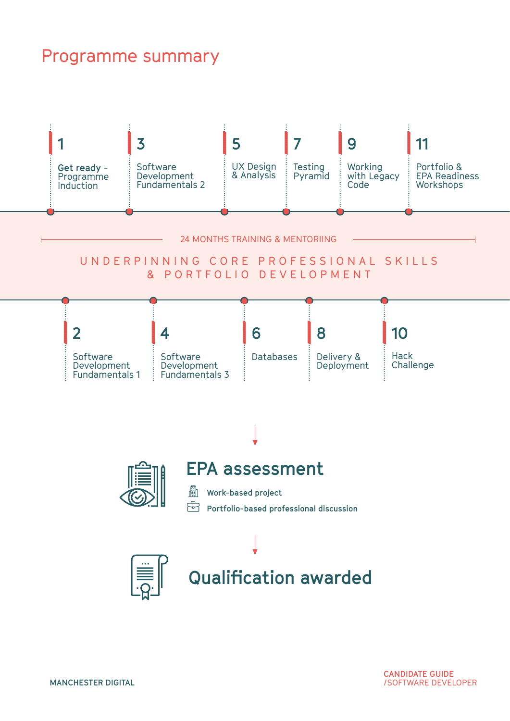### Programme summary